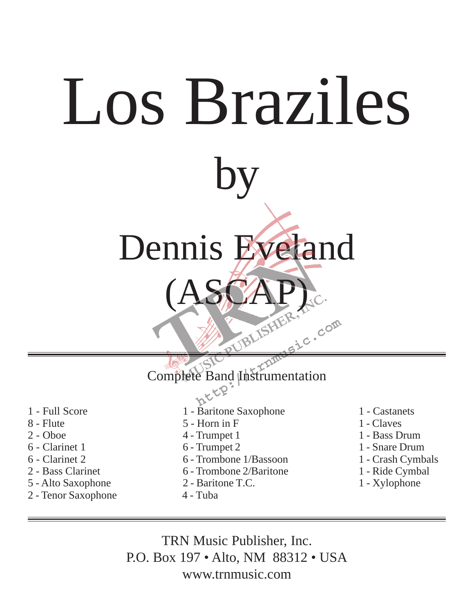## Los Braziles by Dennis Eveland (ASCAP)

Complete Band Instrumentation

- 1 Full Score
- 8 Flute
- 2 Oboe
- 6 Clarinet 1
- 6 Clarinet 2
- 2 Bass Clarinet
- 5 Alto Saxophone
- 2 Tenor Saxophone 4 Tuba
- 1 Baritone Saxophone
- 5 Horn in F
- 4 Trumpet 1
- 6 Trumpet 2
- 6 Trombone 1/Bassoon
- 6 Trombone 2/Baritone
- 2 Baritone T.C.
- 
- 1 Castanets
- 1 Claves

ic.com

- 1 Bass Drum
- 1 Snare Drum
- 1 Crash Cymbals
- 1 Ride Cymbal
- 1 Xylophone

TRN Music Publisher, Inc. P.O. Box 197 • Alto, NM 88312 • USA www.trnmusic.com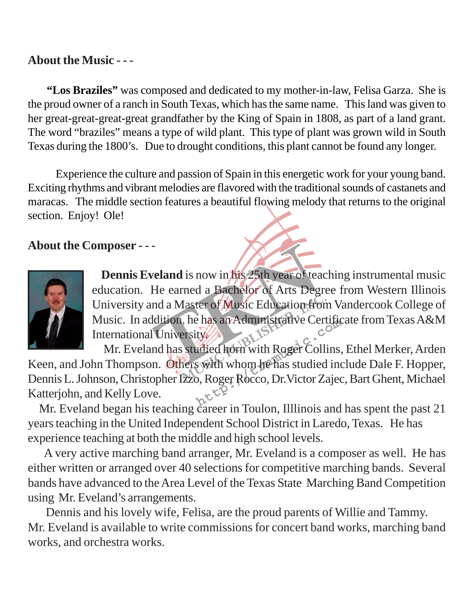## **About the Music - - -**

 **"Los Braziles"** was composed and dedicated to my mother-in-law, Felisa Garza. She is the proud owner of a ranch in South Texas, which has the same name. This land was given to her great-great-great-great grandfather by the King of Spain in 1808, as part of a land grant. The word "braziles" means a type of wild plant. This type of plant was grown wild in South Texas during the 1800's. Due to drought conditions, this plant cannot be found any longer.

Experience the culture and passion of Spain in this energetic work for your young band. Exciting rhythms and vibrant melodies are flavored with the traditional sounds of castanets and maracas. The middle section features a beautiful flowing melody that returns to the original section. Enjoy! Ole!

## **About the Composer - - -**



**Dennis Eveland** is now in his 25th year of teaching instrumental music education. He earned a Bachelor of Arts Degree from Western Illinois University and a Master of Music Education from Vandercook College of Music. In addition, he has an Administrative Certificate from Texas A&M International University.

 Mr. Eveland has studied horn with Roger Collins, Ethel Merker, Arden Keen, and John Thompson. Others with whom he has studied include Dale F. Hopper, Dennis L. Johnson, Christopher Izzo, Roger Rocco, Dr.Victor Zajec, Bart Ghent, Michael Katterjohn, and Kelly Love.

 Mr. Eveland began his teaching career in Toulon, Illlinois and has spent the past 21 years teaching in the United Independent School District in Laredo, Texas. He has experience teaching at both the middle and high school levels.

 A very active marching band arranger, Mr. Eveland is a composer as well. He has either written or arranged over 40 selections for competitive marching bands. Several bands have advanced to the Area Level of the Texas State Marching Band Competition using Mr. Eveland's arrangements.

 Dennis and his lovely wife, Felisa, are the proud parents of Willie and Tammy. Mr. Eveland is available to write commissions for concert band works, marching band works, and orchestra works.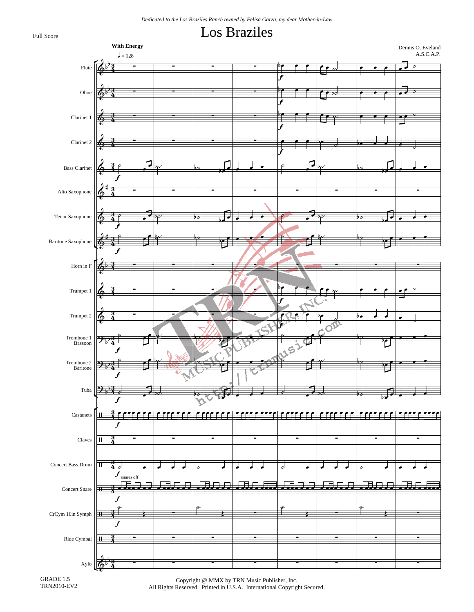



Copyright @ MMX by TRN Music Publisher, Inc. All Rights Reserved. Printed in U.S.A. International Copyright Secured.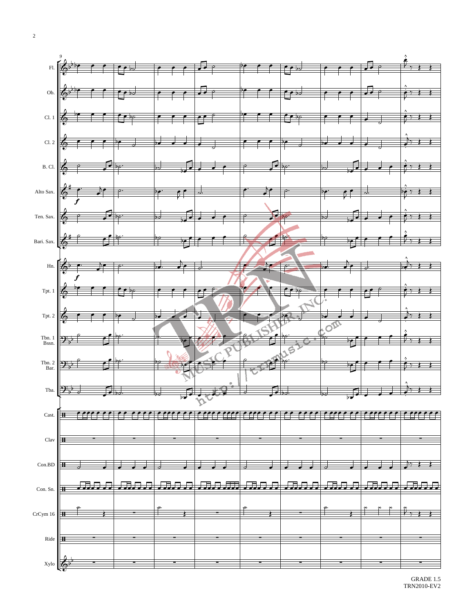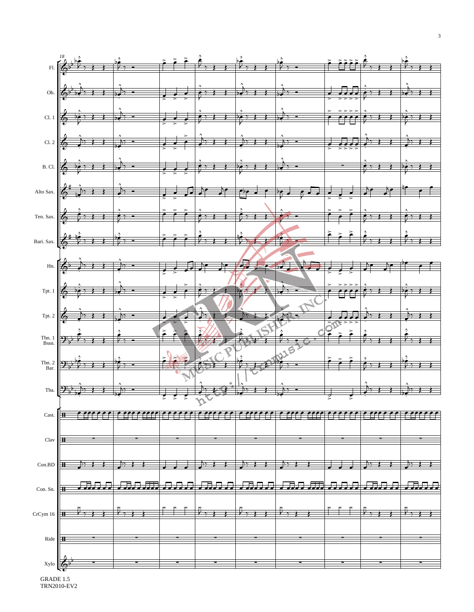

 GRADE 1.5 TRN2010-EV2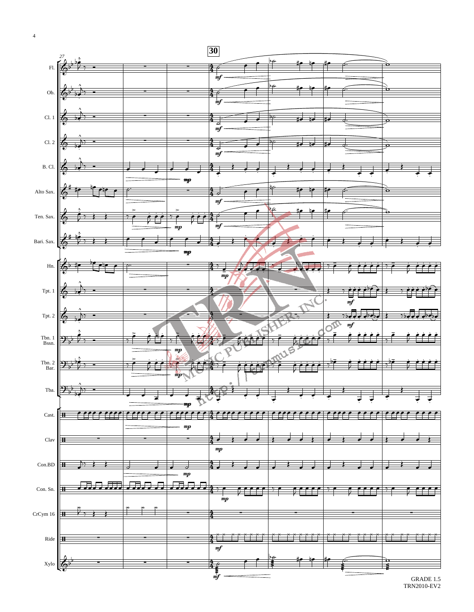

TRN2010-EV2

4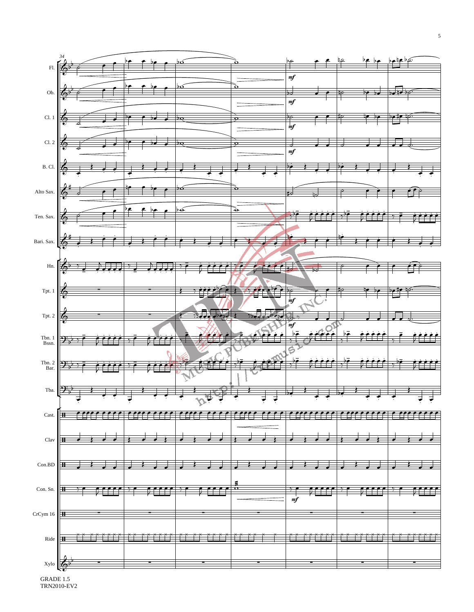

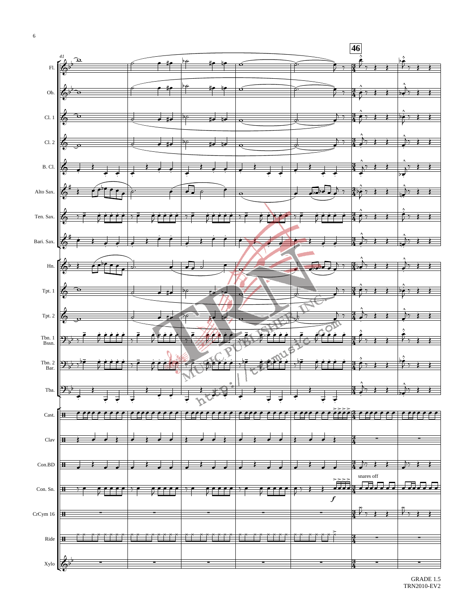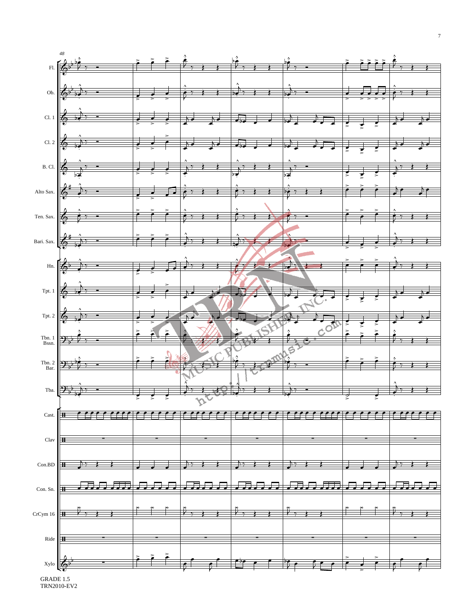

 GRADE 1.5 TRN2010-EV2